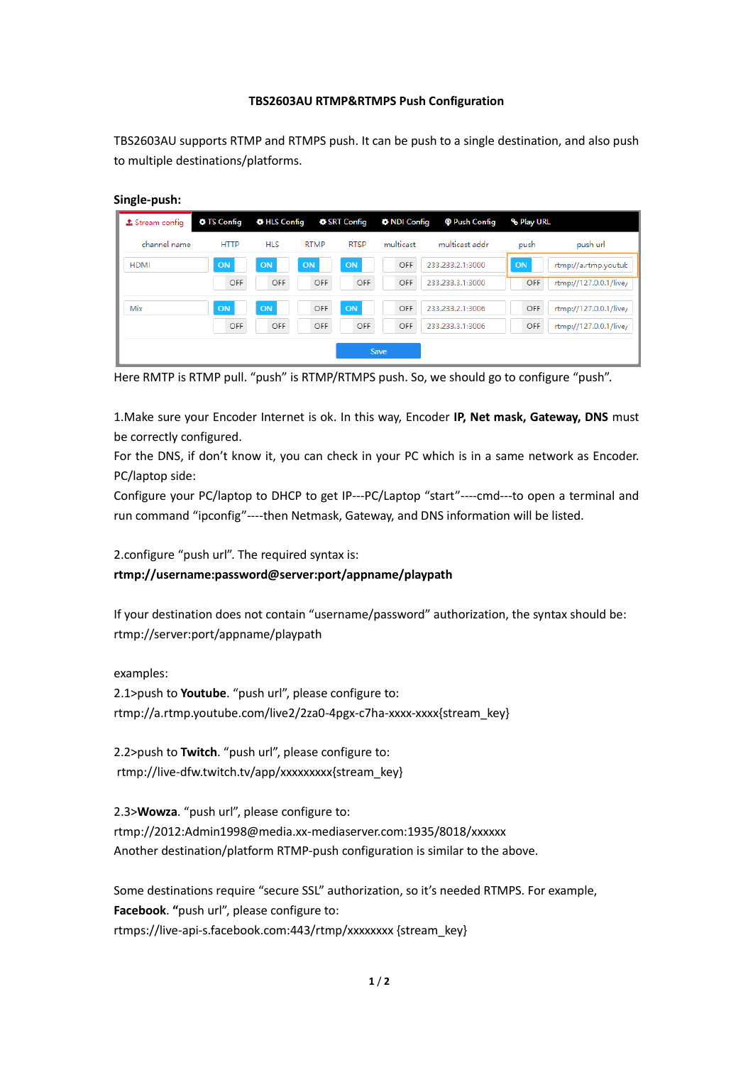## **TBS2603AU RTMP&RTMPS Push Configuration**

TBS2603AU supports RTMP and RTMPS push. It can be push to a single destination, and also push to multiple destinations/platforms.

## **Single-push:**

| $\pm$ Stream config | <b>O</b> TS Config | ♦ HLS Config |             | <b>♦ SRT Config</b><br><b>O</b> NDI Config |           | <b>@</b> Push Config | <b>&amp; Play URL</b> |                        |
|---------------------|--------------------|--------------|-------------|--------------------------------------------|-----------|----------------------|-----------------------|------------------------|
| channel name        | <b>HTTP</b>        | <b>HLS</b>   | <b>RTMP</b> | <b>RTSP</b>                                | multicast | multicast addr.      | push                  | push url               |
| <b>HDMI</b>         | ON                 | ON           | ON          | <b>ON</b>                                  | OFF       | 233.233.2.1:3000     | <b>ON</b>             | rtmp://a.rtmp.youtub   |
|                     | OFF                | OFF          | OFF         | OFF                                        | OFF       | 233.233.3.1:3000     | OFF                   | rtmp://127.0.0.1/live/ |
| Mix                 | ON                 | ON           | OFF         | ON                                         | OFF       | 233.233.2.1:3006     | OFF                   | rtmp://127.0.0.1/live/ |
|                     | OFF                | OFF          | OFF         | OFF                                        | OFF       | 233.233.3.1:3006     | OFF                   | rtmp://127.0.0.1/live/ |
| Save                |                    |              |             |                                            |           |                      |                       |                        |

Here RMTP is RTMP pull. "push" is RTMP/RTMPS push. So, we should go to configure "push".

1.Make sure your Encoder Internet is ok. In this way, Encoder **IP, Net mask, Gateway, DNS** must be correctly configured.

For the DNS, if don't know it, you can check in your PC which is in a same network as Encoder. PC/laptop side:

Configure your PC/laptop to DHCP to get IP---PC/Laptop "start"----cmd---to open a terminal and run command "ipconfig"----then Netmask, Gateway, and DNS information will be listed.

2.configure "push url". The required syntax is:

**rtmp://username:password@server:port/appname/playpath**

If your destination does not contain "username/password" authorization, the syntax should be: rtmp://server:port/appname/playpath

examples:

2.1>push to **Youtube**. "push url", please configure to: rtmp://a.rtmp.youtube.com/live2/2za0-4pgx-c7ha-xxxx-xxxx{stream\_key}

2.2>push to **Twitch**. "push url", please configure to: rtmp://live-dfw.twitch.tv/app/xxxxxxxxx{stream\_key}

2.3>**Wowza**. "push url", please configure to: rtmp://2012:Admin1998@media.xx-mediaserver.com:1935/8018/xxxxxx Another destination/platform RTMP-push configuration is similar to the above.

Some destinations require "secure SSL" authorization, so it's needed RTMPS. For example, **Facebook**. **"**push url", please configure to: rtmps://live-api-s.facebook.com:443/rtmp/xxxxxxxx {stream\_key}